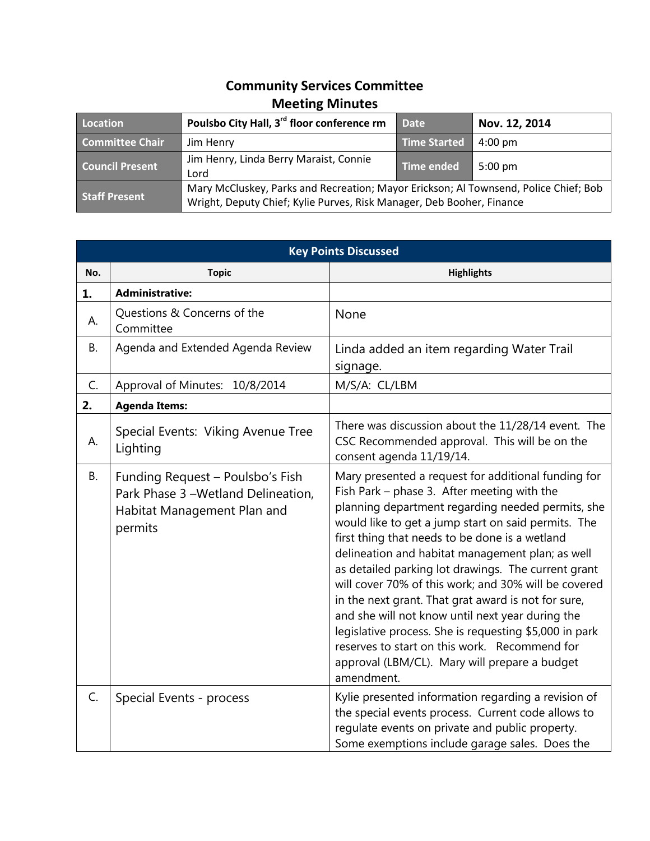## **Community Services Committee Meeting Minutes**

| Location               | Poulsbo City Hall, 3 <sup>rd</sup> floor conference rm                                                                                                        | <b>Date</b>         | Nov. 12, 2014     |
|------------------------|---------------------------------------------------------------------------------------------------------------------------------------------------------------|---------------------|-------------------|
| <b>Committee Chair</b> | Jim Henry                                                                                                                                                     | <b>Time Started</b> | $4:00 \text{ pm}$ |
| <b>Council Present</b> | Jim Henry, Linda Berry Maraist, Connie<br>Lord                                                                                                                | <b>Time ended</b>   | $5:00 \text{ pm}$ |
| <b>Staff Present</b>   | Mary McCluskey, Parks and Recreation; Mayor Erickson; Al Townsend, Police Chief; Bob<br>Wright, Deputy Chief; Kylie Purves, Risk Manager, Deb Booher, Finance |                     |                   |

| <b>Key Points Discussed</b> |                                                                                                                   |                                                                                                                                                                                                                                                                                                                                                                                                                                                                                                                                                                                                                                                                                                                          |  |  |
|-----------------------------|-------------------------------------------------------------------------------------------------------------------|--------------------------------------------------------------------------------------------------------------------------------------------------------------------------------------------------------------------------------------------------------------------------------------------------------------------------------------------------------------------------------------------------------------------------------------------------------------------------------------------------------------------------------------------------------------------------------------------------------------------------------------------------------------------------------------------------------------------------|--|--|
| No.                         | <b>Topic</b>                                                                                                      | <b>Highlights</b>                                                                                                                                                                                                                                                                                                                                                                                                                                                                                                                                                                                                                                                                                                        |  |  |
| 1.                          | <b>Administrative:</b>                                                                                            |                                                                                                                                                                                                                                                                                                                                                                                                                                                                                                                                                                                                                                                                                                                          |  |  |
| А.                          | Questions & Concerns of the<br>Committee                                                                          | None                                                                                                                                                                                                                                                                                                                                                                                                                                                                                                                                                                                                                                                                                                                     |  |  |
| В.                          | Agenda and Extended Agenda Review                                                                                 | Linda added an item regarding Water Trail<br>signage.                                                                                                                                                                                                                                                                                                                                                                                                                                                                                                                                                                                                                                                                    |  |  |
| C.                          | Approval of Minutes: 10/8/2014                                                                                    | M/S/A: CL/LBM                                                                                                                                                                                                                                                                                                                                                                                                                                                                                                                                                                                                                                                                                                            |  |  |
| 2.                          | <b>Agenda Items:</b>                                                                                              |                                                                                                                                                                                                                                                                                                                                                                                                                                                                                                                                                                                                                                                                                                                          |  |  |
| А.                          | Special Events: Viking Avenue Tree<br>Lighting                                                                    | There was discussion about the 11/28/14 event. The<br>CSC Recommended approval. This will be on the<br>consent agenda 11/19/14.                                                                                                                                                                                                                                                                                                                                                                                                                                                                                                                                                                                          |  |  |
| В.                          | Funding Request - Poulsbo's Fish<br>Park Phase 3 - Wetland Delineation,<br>Habitat Management Plan and<br>permits | Mary presented a request for additional funding for<br>Fish Park - phase 3. After meeting with the<br>planning department regarding needed permits, she<br>would like to get a jump start on said permits. The<br>first thing that needs to be done is a wetland<br>delineation and habitat management plan; as well<br>as detailed parking lot drawings. The current grant<br>will cover 70% of this work; and 30% will be covered<br>in the next grant. That grat award is not for sure,<br>and she will not know until next year during the<br>legislative process. She is requesting \$5,000 in park<br>reserves to start on this work. Recommend for<br>approval (LBM/CL). Mary will prepare a budget<br>amendment. |  |  |
| C.                          | Special Events - process                                                                                          | Kylie presented information regarding a revision of<br>the special events process. Current code allows to<br>regulate events on private and public property.<br>Some exemptions include garage sales. Does the                                                                                                                                                                                                                                                                                                                                                                                                                                                                                                           |  |  |